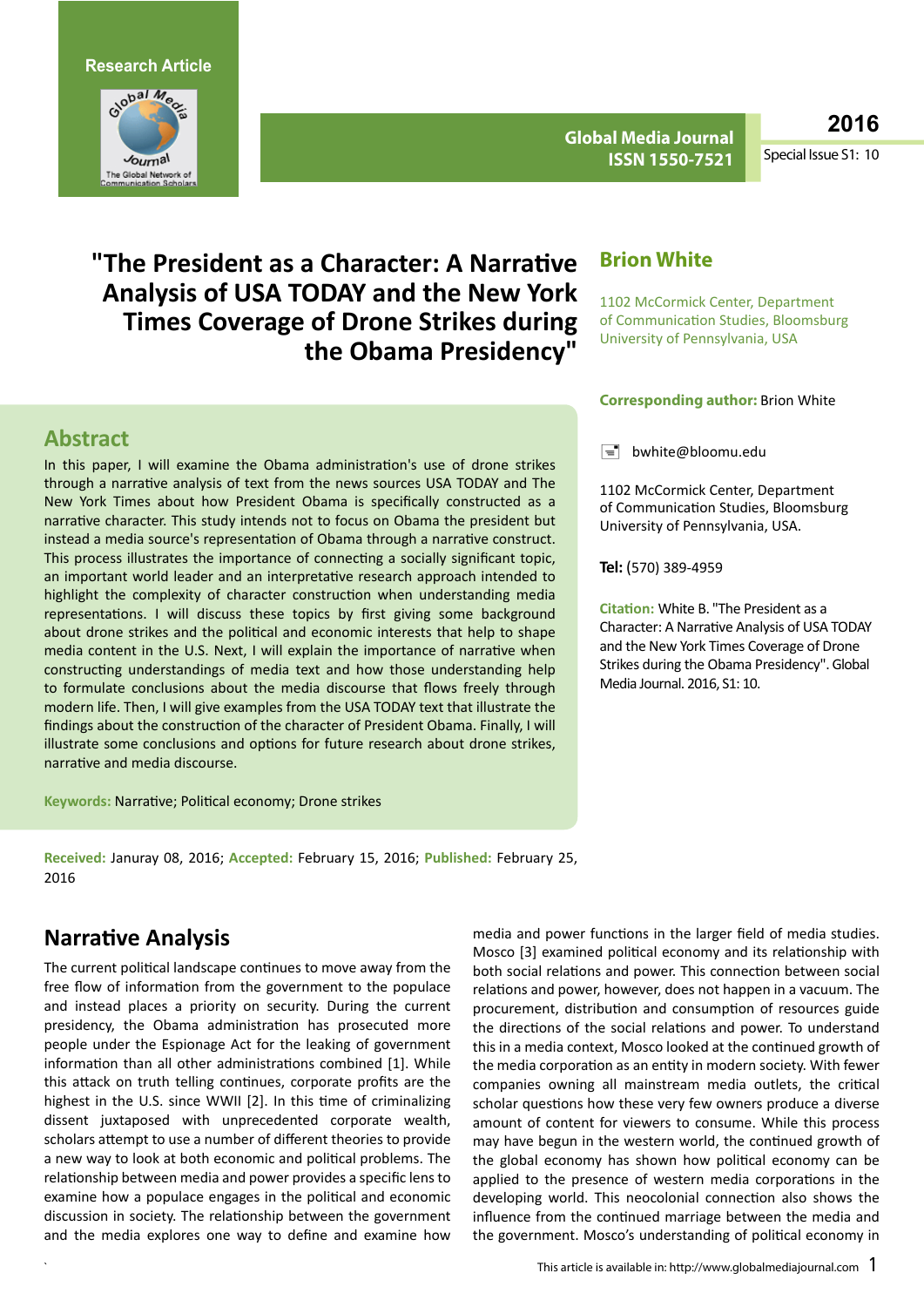**Research Article**



**Global Media Journal ISSN 1550-7521** **2016**

Special Issue S1: 10

# **"The President as a Character: A Narrative Analysis of USA TODAY and the New York Times Coverage of Drone Strikes during the Obama Presidency"**

#### **Abstract**

In this paper, I will examine the Obama administration's use of drone strikes through a narrative analysis of text from the news sources USA TODAY and The New York Times about how President Obama is specifically constructed as a narrative character. This study intends not to focus on Obama the president but instead a media source's representation of Obama through a narrative construct. This process illustrates the importance of connecting a socially significant topic, an important world leader and an interpretative research approach intended to highlight the complexity of character construction when understanding media representations. I will discuss these topics by first giving some background about drone strikes and the political and economic interests that help to shape media content in the U.S. Next, I will explain the importance of narrative when constructing understandings of media text and how those understanding help to formulate conclusions about the media discourse that flows freely through modern life. Then, I will give examples from the USA TODAY text that illustrate the findings about the construction of the character of President Obama. Finally, I will illustrate some conclusions and options for future research about drone strikes, narrative and media discourse.

**Keywords:** Narrative; Political economy; Drone strikes

**Received:** Januray 08, 2016; **Accepted:** February 15, 2016; **Published:** February 25, 2016

## **Narrative Analysis**

The current political landscape continues to move away from the free flow of information from the government to the populace and instead places a priority on security. During the current presidency, the Obama administration has prosecuted more people under the Espionage Act for the leaking of government information than all other administrations combined [1]. While this attack on truth telling continues, corporate profits are the highest in the U.S. since WWII [2]. In this time of criminalizing dissent juxtaposed with unprecedented corporate wealth, scholars attempt to use a number of different theories to provide a new way to look at both economic and political problems. The relationship between media and power provides a specific lens to examine how a populace engages in the political and economic discussion in society. The relationship between the government and the media explores one way to define and examine how

# **Brion White**

1102 McCormick Center, Department of Communication Studies, Bloomsburg University of Pennsylvania, USA

#### **Corresponding author:** Brion White

 $\equiv$  [bwhite@bloomu.edu](mailto:bwhite@bloomu.edu)

1102 McCormick Center, Department of Communication Studies, Bloomsburg University of Pennsylvania, USA.

**Tel:** (570) 389-4959

**Citation:** White B. "The President as a Character: A Narrative Analysis of USA TODAY and the New York Times Coverage of Drone Strikes during the Obama Presidency". Global Media Journal. 2016, S1: 10.

media and power functions in the larger field of media studies. Mosco [3] examined political economy and its relationship with both social relations and power. This connection between social relations and power, however, does not happen in a vacuum. The procurement, distribution and consumption of resources guide the directions of the social relations and power. To understand this in a media context, Mosco looked at the continued growth of the media corporation as an entity in modern society. With fewer companies owning all mainstream media outlets, the critical scholar questions how these very few owners produce a diverse amount of content for viewers to consume. While this process may have begun in the western world, the continued growth of the global economy has shown how political economy can be applied to the presence of western media corporations in the developing world. This neocolonial connection also shows the influence from the continued marriage between the media and the government. Mosco's understanding of political economy in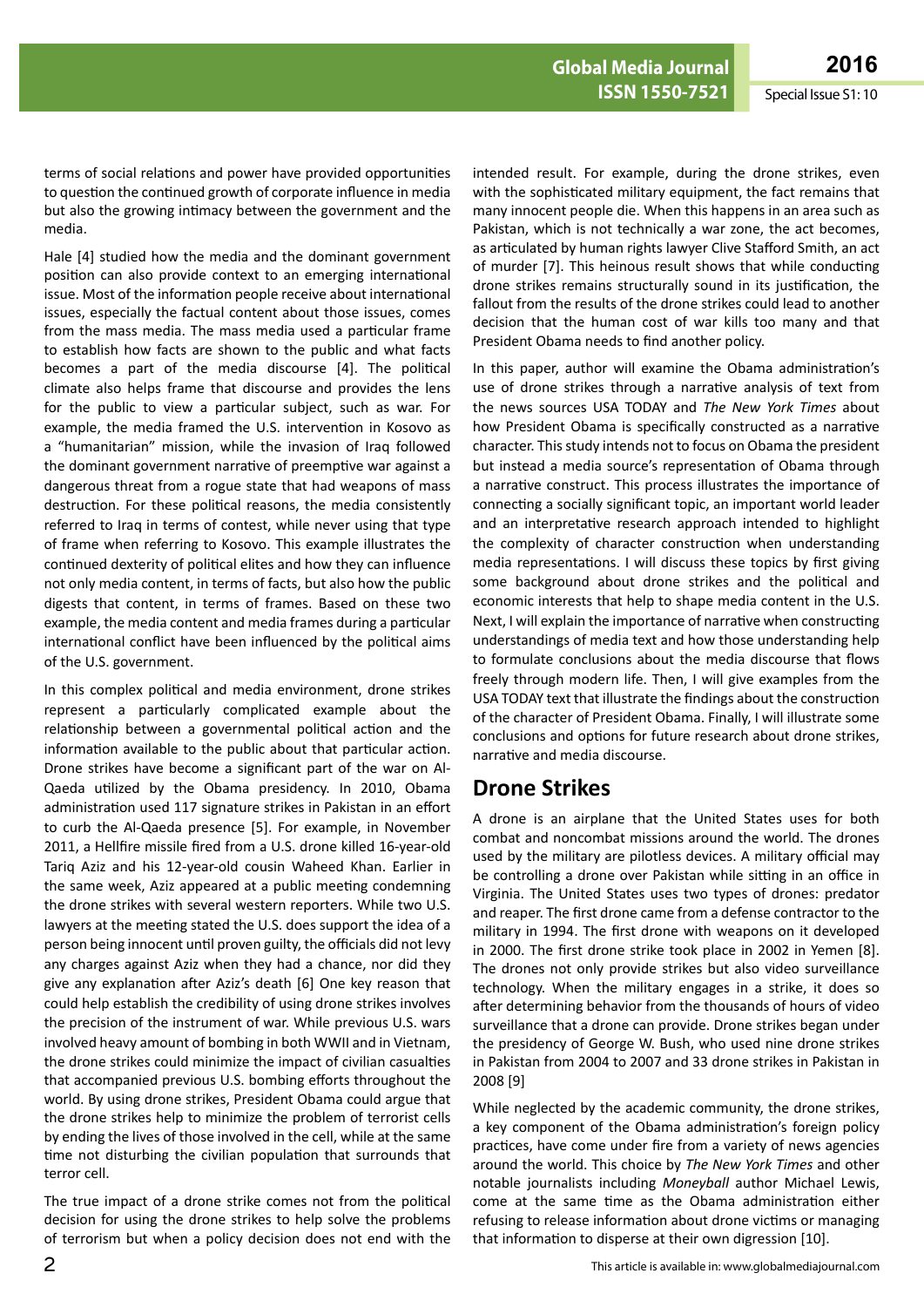terms of social relations and power have provided opportunities to question the continued growth of corporate influence in media but also the growing intimacy between the government and the media.

Hale [4] studied how the media and the dominant government position can also provide context to an emerging international issue. Most of the information people receive about international issues, especially the factual content about those issues, comes from the mass media. The mass media used a particular frame to establish how facts are shown to the public and what facts becomes a part of the media discourse [4]. The political climate also helps frame that discourse and provides the lens for the public to view a particular subject, such as war. For example, the media framed the U.S. intervention in Kosovo as a "humanitarian" mission, while the invasion of Iraq followed the dominant government narrative of preemptive war against a dangerous threat from a rogue state that had weapons of mass destruction. For these political reasons, the media consistently referred to Iraq in terms of contest, while never using that type of frame when referring to Kosovo. This example illustrates the continued dexterity of political elites and how they can influence not only media content, in terms of facts, but also how the public digests that content, in terms of frames. Based on these two example, the media content and media frames during a particular international conflict have been influenced by the political aims of the U.S. government.

In this complex political and media environment, drone strikes represent a particularly complicated example about the relationship between a governmental political action and the information available to the public about that particular action. Drone strikes have become a significant part of the war on Al-Qaeda utilized by the Obama presidency. In 2010, Obama administration used 117 signature strikes in Pakistan in an effort to curb the Al-Qaeda presence [5]. For example, in November 2011, a Hellfire missile fired from a U.S. drone killed 16-year-old Tariq Aziz and his 12-year-old cousin Waheed Khan. Earlier in the same week, Aziz appeared at a public meeting condemning the drone strikes with several western reporters. While two U.S. lawyers at the meeting stated the U.S. does support the idea of a person being innocent until proven guilty, the officials did not levy any charges against Aziz when they had a chance, nor did they give any explanation after Aziz's death [6] One key reason that could help establish the credibility of using drone strikes involves the precision of the instrument of war. While previous U.S. wars involved heavy amount of bombing in both WWII and in Vietnam, the drone strikes could minimize the impact of civilian casualties that accompanied previous U.S. bombing efforts throughout the world. By using drone strikes, President Obama could argue that the drone strikes help to minimize the problem of terrorist cells by ending the lives of those involved in the cell, while at the same time not disturbing the civilian population that surrounds that terror cell.

The true impact of a drone strike comes not from the political decision for using the drone strikes to help solve the problems of terrorism but when a policy decision does not end with the

intended result. For example, during the drone strikes, even with the sophisticated military equipment, the fact remains that many innocent people die. When this happens in an area such as Pakistan, which is not technically a war zone, the act becomes, as articulated by human rights lawyer Clive Stafford Smith, an act of murder [7]. This heinous result shows that while conducting drone strikes remains structurally sound in its justification, the fallout from the results of the drone strikes could lead to another decision that the human cost of war kills too many and that President Obama needs to find another policy.

In this paper, author will examine the Obama administration's use of drone strikes through a narrative analysis of text from the news sources USA TODAY and *The New York Times* about how President Obama is specifically constructed as a narrative character. This study intends not to focus on Obama the president but instead a media source's representation of Obama through a narrative construct. This process illustrates the importance of connecting a socially significant topic, an important world leader and an interpretative research approach intended to highlight the complexity of character construction when understanding media representations. I will discuss these topics by first giving some background about drone strikes and the political and economic interests that help to shape media content in the U.S. Next, I will explain the importance of narrative when constructing understandings of media text and how those understanding help to formulate conclusions about the media discourse that flows freely through modern life. Then, I will give examples from the USA TODAY text that illustrate the findings about the construction of the character of President Obama. Finally, I will illustrate some conclusions and options for future research about drone strikes, narrative and media discourse.

## **Drone Strikes**

A drone is an airplane that the United States uses for both combat and noncombat missions around the world. The drones used by the military are pilotless devices. A military official may be controlling a drone over Pakistan while sitting in an office in Virginia. The United States uses two types of drones: predator and reaper. The first drone came from a defense contractor to the military in 1994. The first drone with weapons on it developed in 2000. The first drone strike took place in 2002 in Yemen [8]. The drones not only provide strikes but also video surveillance technology. When the military engages in a strike, it does so after determining behavior from the thousands of hours of video surveillance that a drone can provide. Drone strikes began under the presidency of George W. Bush, who used nine drone strikes in Pakistan from 2004 to 2007 and 33 drone strikes in Pakistan in 2008 [9]

While neglected by the academic community, the drone strikes, a key component of the Obama administration's foreign policy practices, have come under fire from a variety of news agencies around the world. This choice by *The New York Times* and other notable journalists including *Moneyball* author Michael Lewis, come at the same time as the Obama administration either refusing to release information about drone victims or managing that information to disperse at their own digression [10].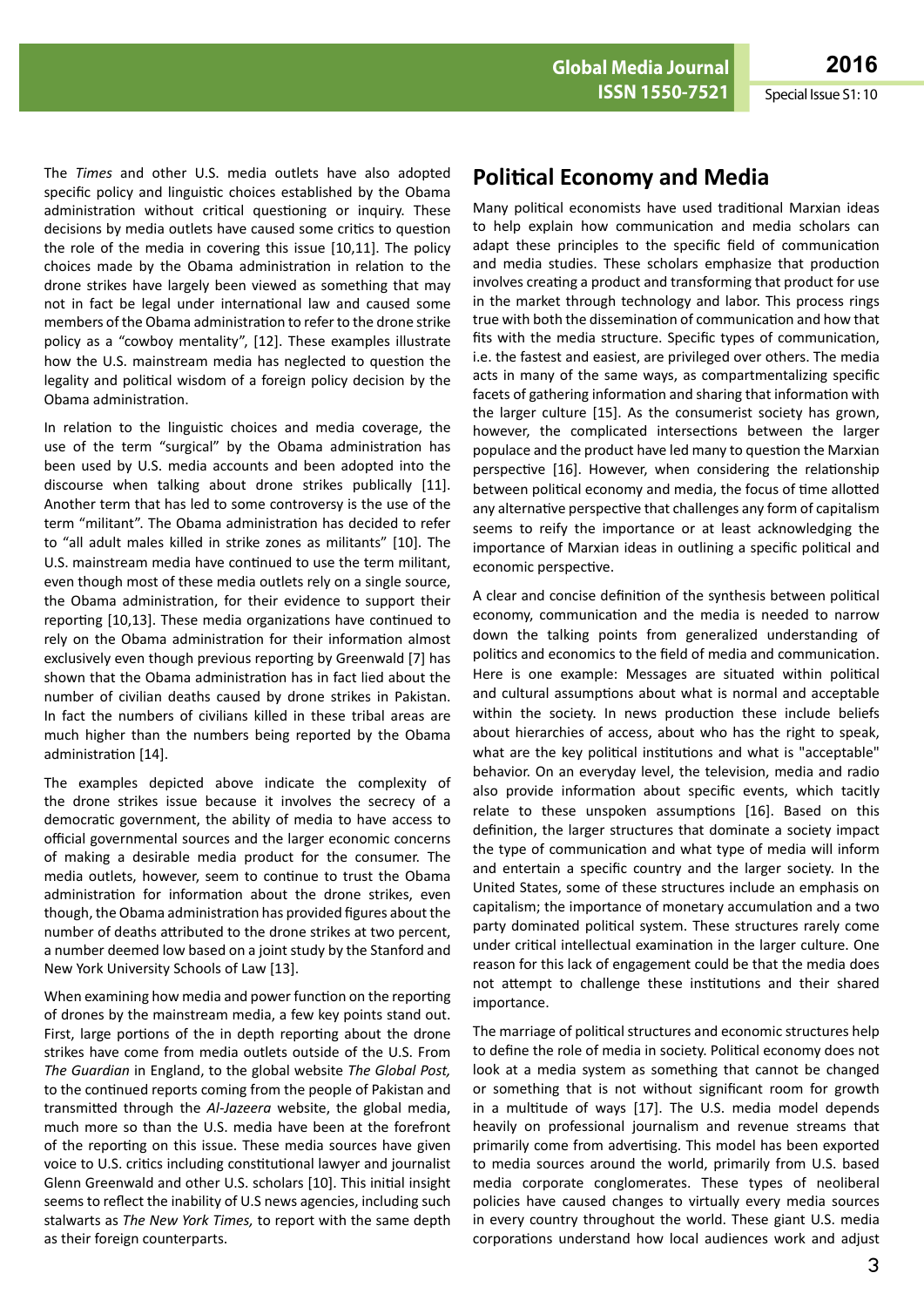The *Times* and other U.S. media outlets have also adopted specific policy and linguistic choices established by the Obama administration without critical questioning or inquiry. These decisions by media outlets have caused some critics to question the role of the media in covering this issue [10,11]. The policy choices made by the Obama administration in relation to the drone strikes have largely been viewed as something that may not in fact be legal under international law and caused some members of the Obama administration to refer to the drone strike policy as a "cowboy mentality", [12]. These examples illustrate how the U.S. mainstream media has neglected to question the legality and political wisdom of a foreign policy decision by the Obama administration.

In relation to the linguistic choices and media coverage, the use of the term "surgical" by the Obama administration has been used by U.S. media accounts and been adopted into the discourse when talking about drone strikes publically [11]. Another term that has led to some controversy is the use of the term "militant". The Obama administration has decided to refer to "all adult males killed in strike zones as militants" [10]. The U.S. mainstream media have continued to use the term militant, even though most of these media outlets rely on a single source, the Obama administration, for their evidence to support their reporting [10,13]. These media organizations have continued to rely on the Obama administration for their information almost exclusively even though previous reporting by Greenwald [7] has shown that the Obama administration has in fact lied about the number of civilian deaths caused by drone strikes in Pakistan. In fact the numbers of civilians killed in these tribal areas are much higher than the numbers being reported by the Obama administration [14].

The examples depicted above indicate the complexity of the drone strikes issue because it involves the secrecy of a democratic government, the ability of media to have access to official governmental sources and the larger economic concerns of making a desirable media product for the consumer. The media outlets, however, seem to continue to trust the Obama administration for information about the drone strikes, even though, the Obama administration has provided figures about the number of deaths attributed to the drone strikes at two percent, a number deemed low based on a joint study by the Stanford and New York University Schools of Law [13].

When examining how media and power function on the reporting of drones by the mainstream media, a few key points stand out. First, large portions of the in depth reporting about the drone strikes have come from media outlets outside of the U.S. From *The Guardian* in England, to the global website *The Global Post,*  to the continued reports coming from the people of Pakistan and transmitted through the *Al-Jazeera* website, the global media, much more so than the U.S. media have been at the forefront of the reporting on this issue. These media sources have given voice to U.S. critics including constitutional lawyer and journalist Glenn Greenwald and other U.S. scholars [10]. This initial insight seems to reflect the inability of U.S news agencies, including such stalwarts as *The New York Times,* to report with the same depth as their foreign counterparts.

## **Political Economy and Media**

Many political economists have used traditional Marxian ideas to help explain how communication and media scholars can adapt these principles to the specific field of communication and media studies. These scholars emphasize that production involves creating a product and transforming that product for use in the market through technology and labor. This process rings true with both the dissemination of communication and how that fits with the media structure. Specific types of communication, i.e. the fastest and easiest, are privileged over others. The media acts in many of the same ways, as compartmentalizing specific facets of gathering information and sharing that information with the larger culture [15]. As the consumerist society has grown, however, the complicated intersections between the larger populace and the product have led many to question the Marxian perspective [16]. However, when considering the relationship between political economy and media, the focus of time allotted any alternative perspective that challenges any form of capitalism seems to reify the importance or at least acknowledging the importance of Marxian ideas in outlining a specific political and economic perspective.

A clear and concise definition of the synthesis between political economy, communication and the media is needed to narrow down the talking points from generalized understanding of politics and economics to the field of media and communication. Here is one example: Messages are situated within political and cultural assumptions about what is normal and acceptable within the society. In news production these include beliefs about hierarchies of access, about who has the right to speak, what are the key political institutions and what is "acceptable" behavior. On an everyday level, the television, media and radio also provide information about specific events, which tacitly relate to these unspoken assumptions [16]. Based on this definition, the larger structures that dominate a society impact the type of communication and what type of media will inform and entertain a specific country and the larger society. In the United States, some of these structures include an emphasis on capitalism; the importance of monetary accumulation and a two party dominated political system. These structures rarely come under critical intellectual examination in the larger culture. One reason for this lack of engagement could be that the media does not attempt to challenge these institutions and their shared importance.

The marriage of political structures and economic structures help to define the role of media in society. Political economy does not look at a media system as something that cannot be changed or something that is not without significant room for growth in a multitude of ways [17]. The U.S. media model depends heavily on professional journalism and revenue streams that primarily come from advertising. This model has been exported to media sources around the world, primarily from U.S. based media corporate conglomerates. These types of neoliberal policies have caused changes to virtually every media sources in every country throughout the world. These giant U.S. media corporations understand how local audiences work and adjust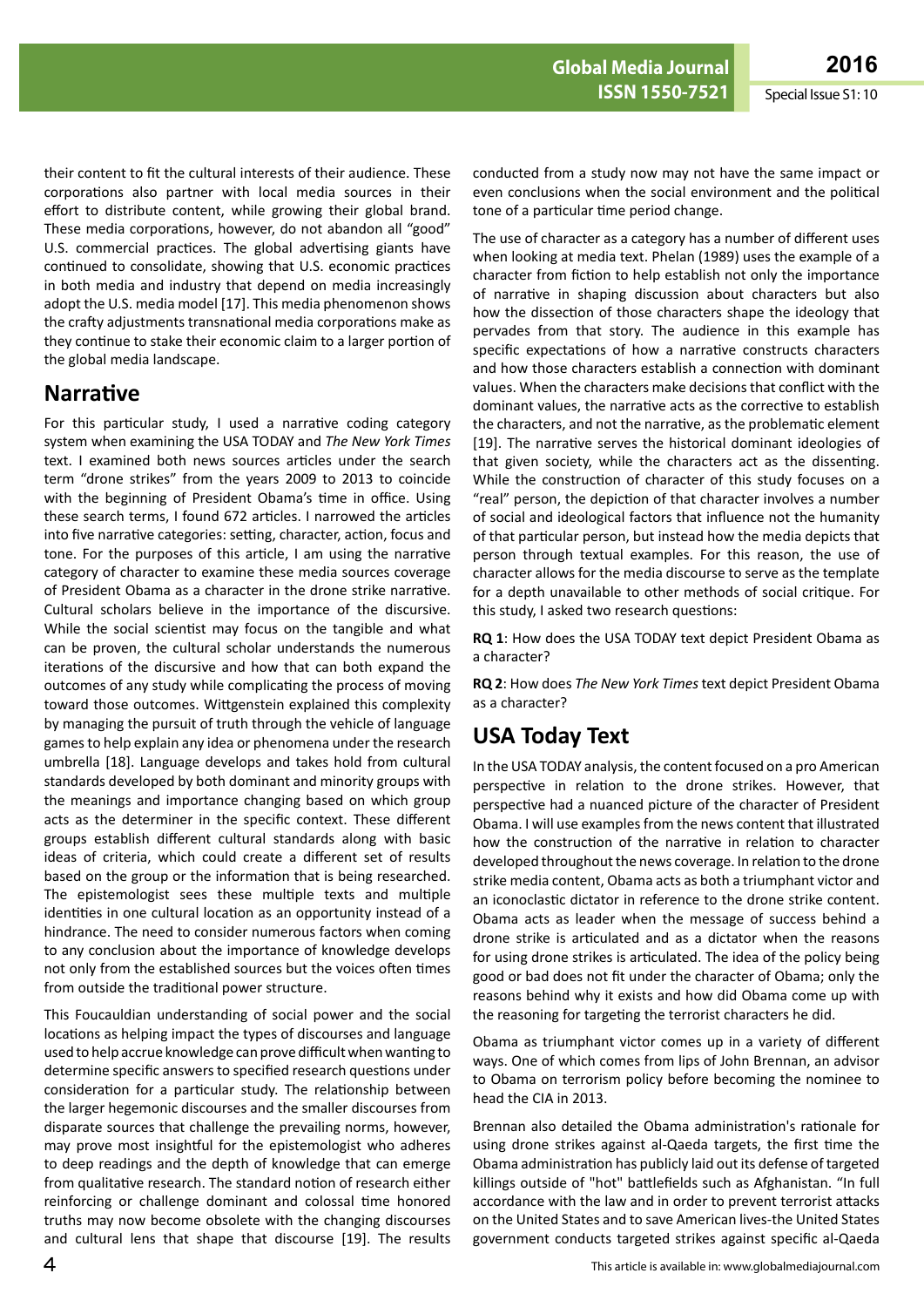their content to fit the cultural interests of their audience. These corporations also partner with local media sources in their effort to distribute content, while growing their global brand. These media corporations, however, do not abandon all "good" U.S. commercial practices. The global advertising giants have continued to consolidate, showing that U.S. economic practices in both media and industry that depend on media increasingly adopt the U.S. media model [17]. This media phenomenon shows the crafty adjustments transnational media corporations make as they continue to stake their economic claim to a larger portion of the global media landscape.

### **Narrative**

For this particular study, I used a narrative coding category system when examining the USA TODAY and *The New York Times* text. I examined both news sources articles under the search term "drone strikes" from the years 2009 to 2013 to coincide with the beginning of President Obama's time in office. Using these search terms, I found 672 articles. I narrowed the articles into five narrative categories: setting, character, action, focus and tone. For the purposes of this article, I am using the narrative category of character to examine these media sources coverage of President Obama as a character in the drone strike narrative. Cultural scholars believe in the importance of the discursive. While the social scientist may focus on the tangible and what can be proven, the cultural scholar understands the numerous iterations of the discursive and how that can both expand the outcomes of any study while complicating the process of moving toward those outcomes. Wittgenstein explained this complexity by managing the pursuit of truth through the vehicle of language games to help explain any idea or phenomena under the research umbrella [18]. Language develops and takes hold from cultural standards developed by both dominant and minority groups with the meanings and importance changing based on which group acts as the determiner in the specific context. These different groups establish different cultural standards along with basic ideas of criteria, which could create a different set of results based on the group or the information that is being researched. The epistemologist sees these multiple texts and multiple identities in one cultural location as an opportunity instead of a hindrance. The need to consider numerous factors when coming to any conclusion about the importance of knowledge develops not only from the established sources but the voices often times from outside the traditional power structure.

This Foucauldian understanding of social power and the social locations as helping impact the types of discourses and language used to help accrue knowledge can prove difficult when wanting to determine specific answers to specified research questions under consideration for a particular study. The relationship between the larger hegemonic discourses and the smaller discourses from disparate sources that challenge the prevailing norms, however, may prove most insightful for the epistemologist who adheres to deep readings and the depth of knowledge that can emerge from qualitative research. The standard notion of research either reinforcing or challenge dominant and colossal time honored truths may now become obsolete with the changing discourses and cultural lens that shape that discourse [19]. The results

conducted from a study now may not have the same impact or even conclusions when the social environment and the political tone of a particular time period change.

The use of character as a category has a number of different uses when looking at media text. Phelan (1989) uses the example of a character from fiction to help establish not only the importance of narrative in shaping discussion about characters but also how the dissection of those characters shape the ideology that pervades from that story. The audience in this example has specific expectations of how a narrative constructs characters and how those characters establish a connection with dominant values. When the characters make decisions that conflict with the dominant values, the narrative acts as the corrective to establish the characters, and not the narrative, as the problematic element [19]. The narrative serves the historical dominant ideologies of that given society, while the characters act as the dissenting. While the construction of character of this study focuses on a "real" person, the depiction of that character involves a number of social and ideological factors that influence not the humanity of that particular person, but instead how the media depicts that person through textual examples. For this reason, the use of character allows for the media discourse to serve as the template for a depth unavailable to other methods of social critique. For this study, I asked two research questions:

**RQ 1**: How does the USA TODAY text depict President Obama as a character?

**RQ 2**: How does *The New York Times* text depict President Obama as a character?

## **USA Today Text**

In the USA TODAY analysis, the content focused on a pro American perspective in relation to the drone strikes. However, that perspective had a nuanced picture of the character of President Obama. I will use examples from the news content that illustrated how the construction of the narrative in relation to character developed throughout the news coverage. In relation to the drone strike media content, Obama acts as both a triumphant victor and an iconoclastic dictator in reference to the drone strike content. Obama acts as leader when the message of success behind a drone strike is articulated and as a dictator when the reasons for using drone strikes is articulated. The idea of the policy being good or bad does not fit under the character of Obama; only the reasons behind why it exists and how did Obama come up with the reasoning for targeting the terrorist characters he did.

Obama as triumphant victor comes up in a variety of different ways. One of which comes from lips of John Brennan, an advisor to Obama on terrorism policy before becoming the nominee to head the CIA in 2013.

Brennan also detailed the Obama administration's rationale for using drone strikes against al-Qaeda targets, the first time the Obama administration has publicly laid out its defense of targeted killings outside of "hot" battlefields such as Afghanistan. "In full accordance with the law and in order to prevent terrorist attacks on the United States and to save American lives-the United States government conducts targeted strikes against specific al-Qaeda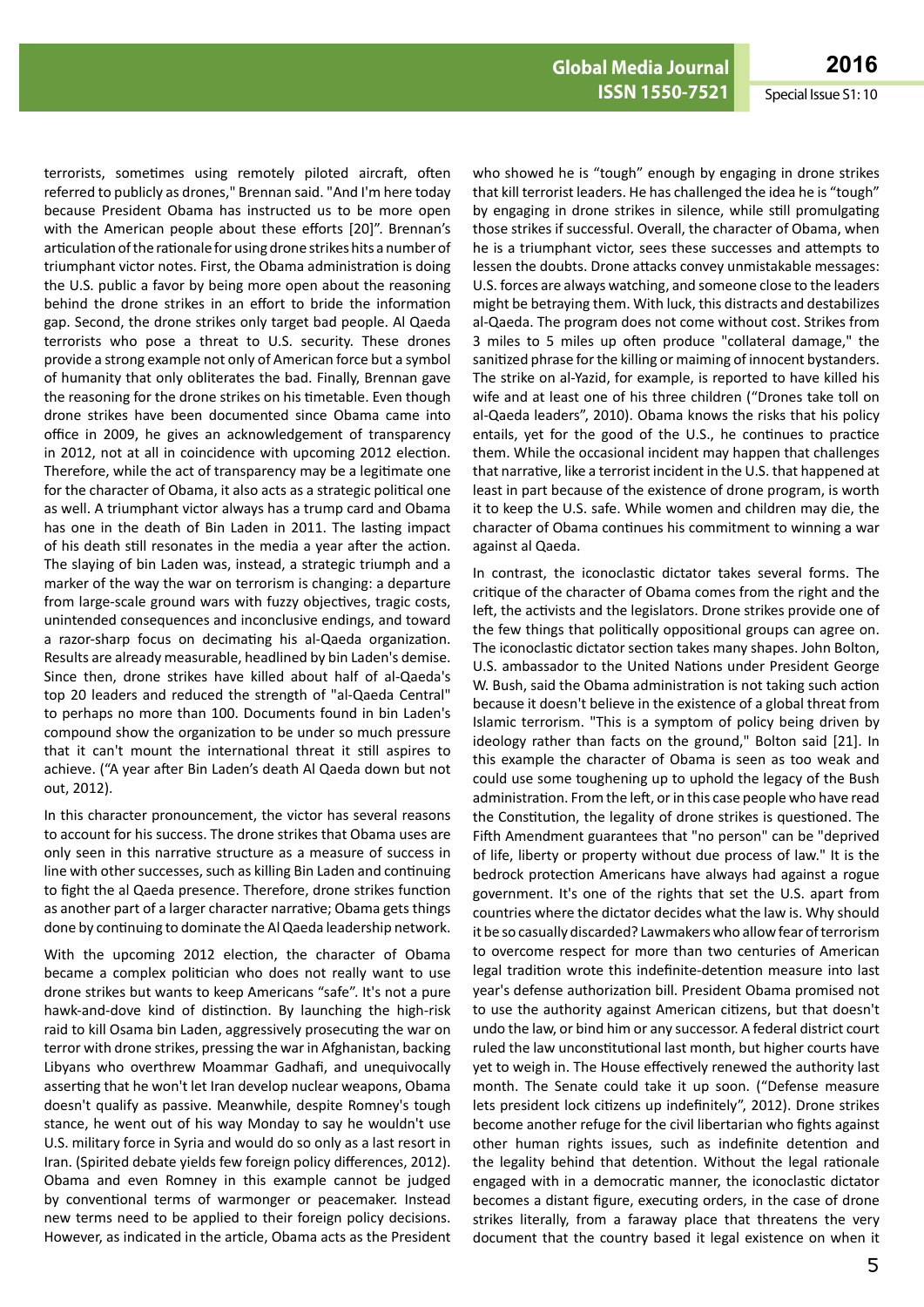terrorists, sometimes using remotely piloted aircraft, often referred to publicly as drones," Brennan said. "And I'm here today because President Obama has instructed us to be more open with the American people about these efforts [20]". Brennan's articulation of the rationale for using drone strikes hits a number of triumphant victor notes. First, the Obama administration is doing the U.S. public a favor by being more open about the reasoning behind the drone strikes in an effort to bride the information gap. Second, the drone strikes only target bad people. Al Qaeda terrorists who pose a threat to U.S. security. These drones provide a strong example not only of American force but a symbol of humanity that only obliterates the bad. Finally, Brennan gave the reasoning for the drone strikes on his timetable. Even though drone strikes have been documented since Obama came into office in 2009, he gives an acknowledgement of transparency in 2012, not at all in coincidence with upcoming 2012 election. Therefore, while the act of transparency may be a legitimate one for the character of Obama, it also acts as a strategic political one as well. A triumphant victor always has a trump card and Obama has one in the death of Bin Laden in 2011. The lasting impact of his death still resonates in the media a year after the action. The slaying of bin Laden was, instead, a strategic triumph and a marker of the way the war on terrorism is changing: a departure from large-scale ground wars with fuzzy objectives, tragic costs, unintended consequences and inconclusive endings, and toward a razor-sharp focus on decimating his al-Qaeda organization. Results are already measurable, headlined by bin Laden's demise. Since then, drone strikes have killed about half of al-Qaeda's top 20 leaders and reduced the strength of "al-Qaeda Central" to perhaps no more than 100. Documents found in bin Laden's compound show the organization to be under so much pressure that it can't mount the international threat it still aspires to achieve. ("A year after Bin Laden's death Al Qaeda down but not out, 2012).

In this character pronouncement, the victor has several reasons to account for his success. The drone strikes that Obama uses are only seen in this narrative structure as a measure of success in line with other successes, such as killing Bin Laden and continuing to fight the al Qaeda presence. Therefore, drone strikes function as another part of a larger character narrative; Obama gets things done by continuing to dominate the Al Qaeda leadership network.

With the upcoming 2012 election, the character of Obama became a complex politician who does not really want to use drone strikes but wants to keep Americans "safe". It's not a pure hawk-and-dove kind of distinction. By launching the high-risk raid to kill Osama bin Laden, aggressively prosecuting the war on terror with drone strikes, pressing the war in Afghanistan, backing Libyans who overthrew Moammar Gadhafi, and unequivocally asserting that he won't let Iran develop nuclear weapons, Obama doesn't qualify as passive. Meanwhile, despite Romney's tough stance, he went out of his way Monday to say he wouldn't use U.S. military force in Syria and would do so only as a last resort in Iran. (Spirited debate yields few foreign policy differences, 2012). Obama and even Romney in this example cannot be judged by conventional terms of warmonger or peacemaker. Instead new terms need to be applied to their foreign policy decisions. However, as indicated in the article, Obama acts as the President who showed he is "tough" enough by engaging in drone strikes that kill terrorist leaders. He has challenged the idea he is "tough" by engaging in drone strikes in silence, while still promulgating those strikes if successful. Overall, the character of Obama, when he is a triumphant victor, sees these successes and attempts to lessen the doubts. Drone attacks convey unmistakable messages: U.S. forces are always watching, and someone close to the leaders might be betraying them. With luck, this distracts and destabilizes al-Qaeda. The program does not come without cost. Strikes from 3 miles to 5 miles up often produce "collateral damage," the sanitized phrase for the killing or maiming of innocent bystanders. The strike on al-Yazid, for example, is reported to have killed his wife and at least one of his three children ("Drones take toll on al-Qaeda leaders", 2010). Obama knows the risks that his policy entails, yet for the good of the U.S., he continues to practice them. While the occasional incident may happen that challenges that narrative, like a terrorist incident in the U.S. that happened at least in part because of the existence of drone program, is worth it to keep the U.S. safe. While women and children may die, the character of Obama continues his commitment to winning a war against al Qaeda.

In contrast, the iconoclastic dictator takes several forms. The critique of the character of Obama comes from the right and the left, the activists and the legislators. Drone strikes provide one of the few things that politically oppositional groups can agree on. The iconoclastic dictator section takes many shapes. John Bolton, U.S. ambassador to the United Nations under President George W. Bush, said the Obama administration is not taking such action because it doesn't believe in the existence of a global threat from Islamic terrorism. "This is a symptom of policy being driven by ideology rather than facts on the ground," Bolton said [21]. In this example the character of Obama is seen as too weak and could use some toughening up to uphold the legacy of the Bush administration. From the left, or in this case people who have read the Constitution, the legality of drone strikes is questioned. The Fifth Amendment guarantees that "no person" can be "deprived of life, liberty or property without due process of law." It is the bedrock protection Americans have always had against a rogue government. It's one of the rights that set the U.S. apart from countries where the dictator decides what the law is. Why should it be so casually discarded? Lawmakers who allow fear of terrorism to overcome respect for more than two centuries of American legal tradition wrote this indefinite-detention measure into last year's defense authorization bill. President Obama promised not to use the authority against American citizens, but that doesn't undo the law, or bind him or any successor. A federal district court ruled the law unconstitutional last month, but higher courts have yet to weigh in. The House effectively renewed the authority last month. The Senate could take it up soon. ("Defense measure lets president lock citizens up indefinitely", 2012). Drone strikes become another refuge for the civil libertarian who fights against other human rights issues, such as indefinite detention and the legality behind that detention. Without the legal rationale engaged with in a democratic manner, the iconoclastic dictator becomes a distant figure, executing orders, in the case of drone strikes literally, from a faraway place that threatens the very document that the country based it legal existence on when it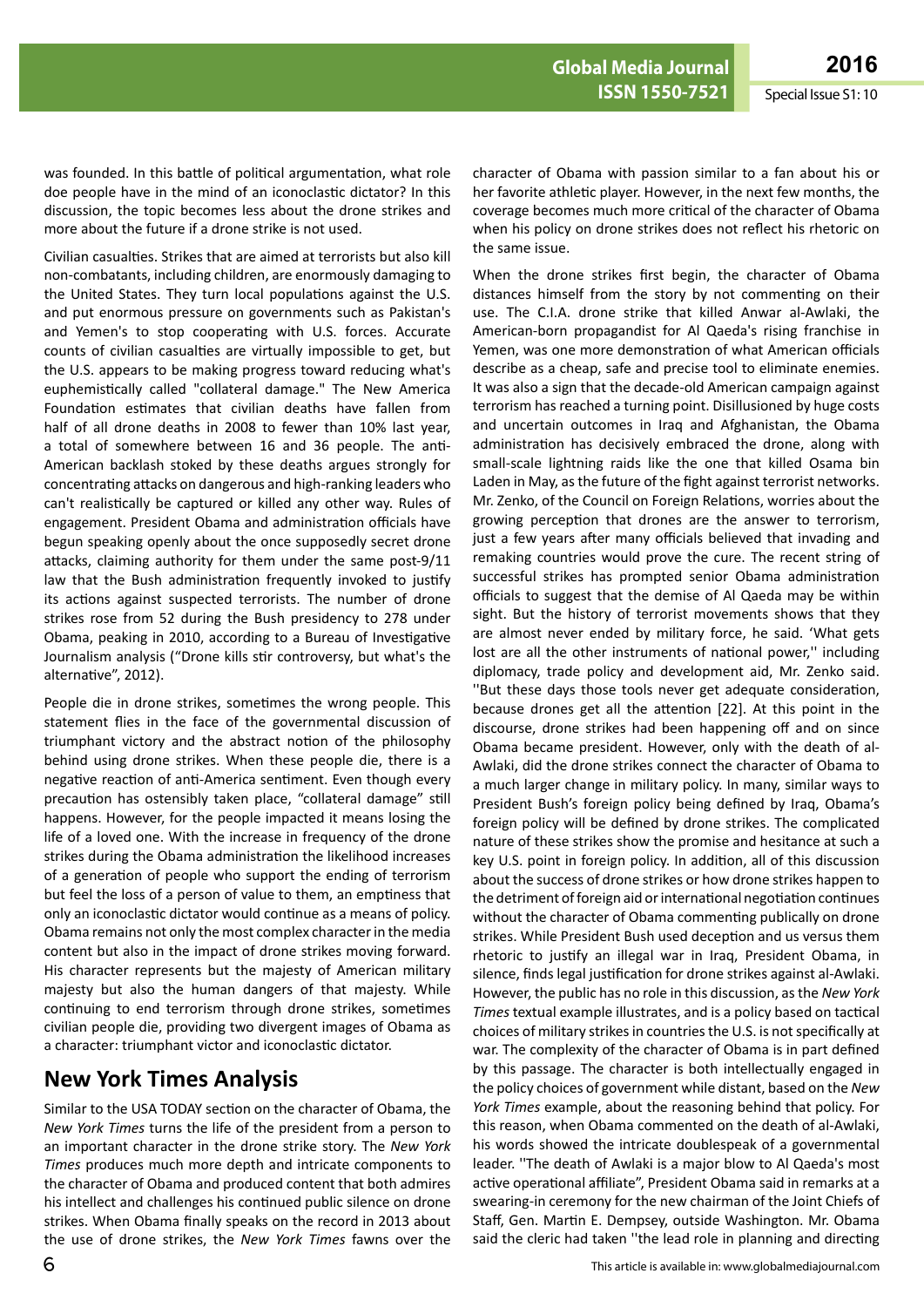was founded. In this battle of political argumentation, what role doe people have in the mind of an iconoclastic dictator? In this discussion, the topic becomes less about the drone strikes and more about the future if a drone strike is not used.

Civilian casualties. Strikes that are aimed at terrorists but also kill non-combatants, including children, are enormously damaging to the United States. They turn local populations against the U.S. and put enormous pressure on governments such as Pakistan's and Yemen's to stop cooperating with U.S. forces. Accurate counts of civilian casualties are virtually impossible to get, but the U.S. appears to be making progress toward reducing what's euphemistically called "collateral damage." The New America Foundation estimates that civilian deaths have fallen from half of all drone deaths in 2008 to fewer than 10% last year, a total of somewhere between 16 and 36 people. The anti-American backlash stoked by these deaths argues strongly for concentrating attacks on dangerous and high-ranking leaders who can't realistically be captured or killed any other way. Rules of engagement. President Obama and administration officials have begun speaking openly about the once supposedly secret drone attacks, claiming authority for them under the same post-9/11 law that the Bush administration frequently invoked to justify its actions against suspected terrorists. The number of drone strikes rose from 52 during the Bush presidency to 278 under Obama, peaking in 2010, according to a Bureau of Investigative Journalism analysis ("Drone kills stir controversy, but what's the alternative", 2012).

People die in drone strikes, sometimes the wrong people. This statement flies in the face of the governmental discussion of triumphant victory and the abstract notion of the philosophy behind using drone strikes. When these people die, there is a negative reaction of anti-America sentiment. Even though every precaution has ostensibly taken place, "collateral damage" still happens. However, for the people impacted it means losing the life of a loved one. With the increase in frequency of the drone strikes during the Obama administration the likelihood increases of a generation of people who support the ending of terrorism but feel the loss of a person of value to them, an emptiness that only an iconoclastic dictator would continue as a means of policy. Obama remains not only the most complex character in the media content but also in the impact of drone strikes moving forward. His character represents but the majesty of American military majesty but also the human dangers of that majesty. While continuing to end terrorism through drone strikes, sometimes civilian people die, providing two divergent images of Obama as a character: triumphant victor and iconoclastic dictator.

## **New York Times Analysis**

Similar to the USA TODAY section on the character of Obama, the *New York Times* turns the life of the president from a person to an important character in the drone strike story. The *New York Times* produces much more depth and intricate components to the character of Obama and produced content that both admires his intellect and challenges his continued public silence on drone strikes. When Obama finally speaks on the record in 2013 about the use of drone strikes, the *New York Times* fawns over the

character of Obama with passion similar to a fan about his or her favorite athletic player. However, in the next few months, the coverage becomes much more critical of the character of Obama when his policy on drone strikes does not reflect his rhetoric on the same issue.

When the drone strikes first begin, the character of Obama distances himself from the story by not commenting on their use. The C.I.A. drone strike that killed Anwar al-Awlaki, the American-born propagandist for Al Qaeda's rising franchise in Yemen, was one more demonstration of what American officials describe as a cheap, safe and precise tool to eliminate enemies. It was also a sign that the decade-old American campaign against terrorism has reached a turning point. Disillusioned by huge costs and uncertain outcomes in Iraq and Afghanistan, the Obama administration has decisively embraced the drone, along with small-scale lightning raids like the one that killed Osama bin Laden in May, as the future of the fight against terrorist networks. Mr. Zenko, of the Council on Foreign Relations, worries about the growing perception that drones are the answer to terrorism, just a few years after many officials believed that invading and remaking countries would prove the cure. The recent string of successful strikes has prompted senior Obama administration officials to suggest that the demise of Al Qaeda may be within sight. But the history of terrorist movements shows that they are almost never ended by military force, he said. 'What gets lost are all the other instruments of national power," including diplomacy, trade policy and development aid, Mr. Zenko said. ''But these days those tools never get adequate consideration, because drones get all the attention [22]. At this point in the discourse, drone strikes had been happening off and on since Obama became president. However, only with the death of al-Awlaki, did the drone strikes connect the character of Obama to a much larger change in military policy. In many, similar ways to President Bush's foreign policy being defined by Iraq, Obama's foreign policy will be defined by drone strikes. The complicated nature of these strikes show the promise and hesitance at such a key U.S. point in foreign policy. In addition, all of this discussion about the success of drone strikes or how drone strikes happen to the detriment of foreign aid or international negotiation continues without the character of Obama commenting publically on drone strikes. While President Bush used deception and us versus them rhetoric to justify an illegal war in Iraq, President Obama, in silence, finds legal justification for drone strikes against al-Awlaki. However, the public has no role in this discussion, as the *New York Times* textual example illustrates, and is a policy based on tactical choices of military strikes in countries the U.S. is not specifically at war. The complexity of the character of Obama is in part defined by this passage. The character is both intellectually engaged in the policy choices of government while distant, based on the *New York Times* example, about the reasoning behind that policy. For this reason, when Obama commented on the death of al-Awlaki, his words showed the intricate doublespeak of a governmental leader. ''The death of Awlaki is a major blow to Al Qaeda's most active operational affiliate", President Obama said in remarks at a swearing-in ceremony for the new chairman of the Joint Chiefs of Staff, Gen. Martin E. Dempsey, outside Washington. Mr. Obama said the cleric had taken ''the lead role in planning and directing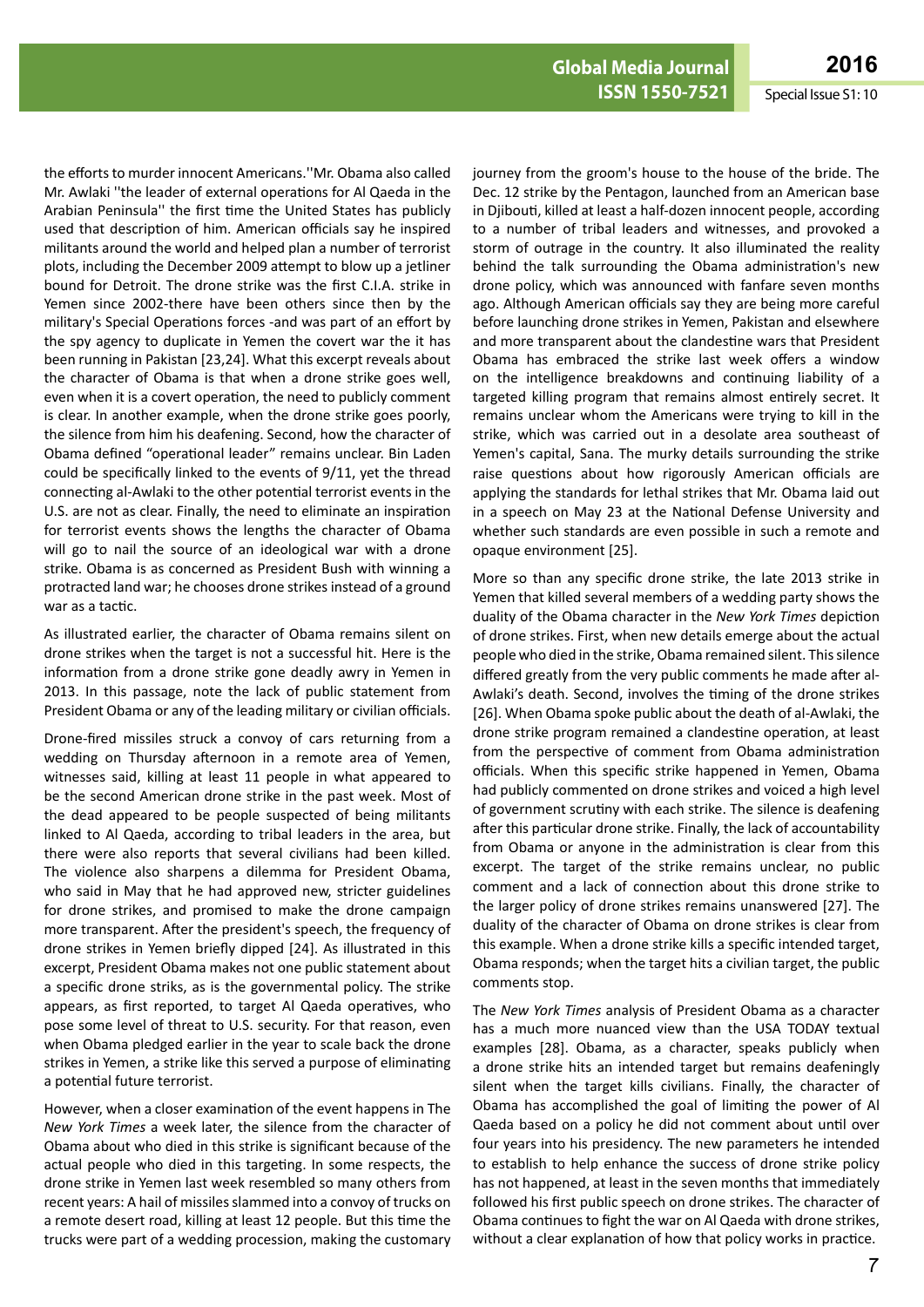the efforts to murder innocent Americans.''Mr. Obama also called Mr. Awlaki ''the leader of external operations for Al Qaeda in the Arabian Peninsula'' the first time the United States has publicly used that description of him. American officials say he inspired militants around the world and helped plan a number of terrorist plots, including the December 2009 attempt to blow up a jetliner bound for Detroit. The drone strike was the first C.I.A. strike in Yemen since 2002-there have been others since then by the military's Special Operations forces -and was part of an effort by the spy agency to duplicate in Yemen the covert war the it has been running in Pakistan [23,24]. What this excerpt reveals about the character of Obama is that when a drone strike goes well, even when it is a covert operation, the need to publicly comment is clear. In another example, when the drone strike goes poorly, the silence from him his deafening. Second, how the character of Obama defined "operational leader" remains unclear. Bin Laden could be specifically linked to the events of 9/11, yet the thread connecting al-Awlaki to the other potential terrorist events in the U.S. are not as clear. Finally, the need to eliminate an inspiration for terrorist events shows the lengths the character of Obama will go to nail the source of an ideological war with a drone strike. Obama is as concerned as President Bush with winning a protracted land war; he chooses drone strikes instead of a ground war as a tactic.

As illustrated earlier, the character of Obama remains silent on drone strikes when the target is not a successful hit. Here is the information from a drone strike gone deadly awry in Yemen in 2013. In this passage, note the lack of public statement from President Obama or any of the leading military or civilian officials.

Drone-fired missiles struck a convoy of cars returning from a wedding on Thursday afternoon in a remote area of Yemen, witnesses said, killing at least 11 people in what appeared to be the second American drone strike in the past week. Most of the dead appeared to be people suspected of being militants linked to Al Qaeda, according to tribal leaders in the area, but there were also reports that several civilians had been killed. The violence also sharpens a dilemma for President Obama, who said in May that he had approved new, stricter guidelines for drone strikes, and promised to make the drone campaign more transparent. After the president's speech, the frequency of drone strikes in Yemen briefly dipped [24]. As illustrated in this excerpt, President Obama makes not one public statement about a specific drone striks, as is the governmental policy. The strike appears, as first reported, to target Al Qaeda operatives, who pose some level of threat to U.S. security. For that reason, even when Obama pledged earlier in the year to scale back the drone strikes in Yemen, a strike like this served a purpose of eliminating a potential future terrorist.

However, when a closer examination of the event happens in The *New York Times* a week later, the silence from the character of Obama about who died in this strike is significant because of the actual people who died in this targeting. In some respects, the drone strike in Yemen last week resembled so many others from recent years: A hail of missiles slammed into a convoy of trucks on a remote desert road, killing at least 12 people. But this time the trucks were part of a wedding procession, making the customary

journey from the groom's house to the house of the bride. The Dec. 12 strike by the Pentagon, launched from an American base in Djibouti, killed at least a half-dozen innocent people, according to a number of tribal leaders and witnesses, and provoked a storm of outrage in the country. It also illuminated the reality behind the talk surrounding the Obama administration's new drone policy, which was announced with fanfare seven months ago. Although American officials say they are being more careful before launching drone strikes in Yemen, Pakistan and elsewhere and more transparent about the clandestine wars that President Obama has embraced the strike last week offers a window on the intelligence breakdowns and continuing liability of a targeted killing program that remains almost entirely secret. It remains unclear whom the Americans were trying to kill in the strike, which was carried out in a desolate area southeast of Yemen's capital, Sana. The murky details surrounding the strike raise questions about how rigorously American officials are applying the standards for lethal strikes that Mr. Obama laid out in a speech on May 23 at the National Defense University and whether such standards are even possible in such a remote and opaque environment [25].

More so than any specific drone strike, the late 2013 strike in Yemen that killed several members of a wedding party shows the duality of the Obama character in the *New York Times* depiction of drone strikes. First, when new details emerge about the actual people who died in the strike, Obama remained silent. This silence differed greatly from the very public comments he made after al-Awlaki's death. Second, involves the timing of the drone strikes [26]. When Obama spoke public about the death of al-Awlaki, the drone strike program remained a clandestine operation, at least from the perspective of comment from Obama administration officials. When this specific strike happened in Yemen, Obama had publicly commented on drone strikes and voiced a high level of government scrutiny with each strike. The silence is deafening after this particular drone strike. Finally, the lack of accountability from Obama or anyone in the administration is clear from this excerpt. The target of the strike remains unclear, no public comment and a lack of connection about this drone strike to the larger policy of drone strikes remains unanswered [27]. The duality of the character of Obama on drone strikes is clear from this example. When a drone strike kills a specific intended target, Obama responds; when the target hits a civilian target, the public comments stop.

The *New York Times* analysis of President Obama as a character has a much more nuanced view than the USA TODAY textual examples [28]. Obama, as a character, speaks publicly when a drone strike hits an intended target but remains deafeningly silent when the target kills civilians. Finally, the character of Obama has accomplished the goal of limiting the power of Al Qaeda based on a policy he did not comment about until over four years into his presidency. The new parameters he intended to establish to help enhance the success of drone strike policy has not happened, at least in the seven months that immediately followed his first public speech on drone strikes. The character of Obama continues to fight the war on Al Qaeda with drone strikes, without a clear explanation of how that policy works in practice.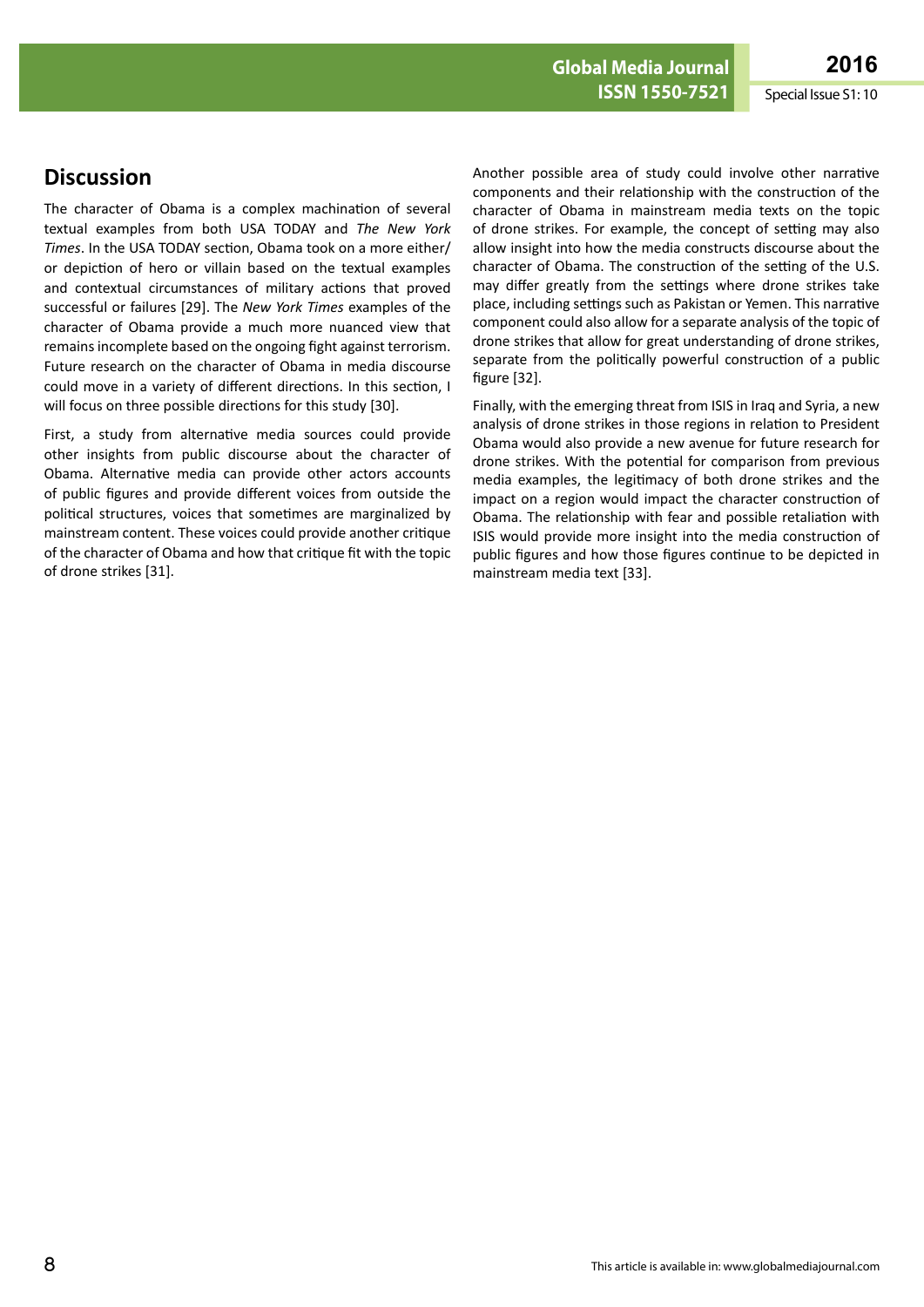## **Discussion**

The character of Obama is a complex machination of several textual examples from both USA TODAY and *The New York Times*. In the USA TODAY section, Obama took on a more either/ or depiction of hero or villain based on the textual examples and contextual circumstances of military actions that proved successful or failures [29]. The *New York Times* examples of the character of Obama provide a much more nuanced view that remains incomplete based on the ongoing fight against terrorism. Future research on the character of Obama in media discourse could move in a variety of different directions. In this section, I will focus on three possible directions for this study [30].

First, a study from alternative media sources could provide other insights from public discourse about the character of Obama. Alternative media can provide other actors accounts of public figures and provide different voices from outside the political structures, voices that sometimes are marginalized by mainstream content. These voices could provide another critique of the character of Obama and how that critique fit with the topic of drone strikes [31].

Another possible area of study could involve other narrative components and their relationship with the construction of the character of Obama in mainstream media texts on the topic of drone strikes. For example, the concept of setting may also allow insight into how the media constructs discourse about the character of Obama. The construction of the setting of the U.S. may differ greatly from the settings where drone strikes take place, including settings such as Pakistan or Yemen. This narrative component could also allow for a separate analysis of the topic of drone strikes that allow for great understanding of drone strikes, separate from the politically powerful construction of a public figure [32].

Finally, with the emerging threat from ISIS in Iraq and Syria, a new analysis of drone strikes in those regions in relation to President Obama would also provide a new avenue for future research for drone strikes. With the potential for comparison from previous media examples, the legitimacy of both drone strikes and the impact on a region would impact the character construction of Obama. The relationship with fear and possible retaliation with ISIS would provide more insight into the media construction of public figures and how those figures continue to be depicted in mainstream media text [33].